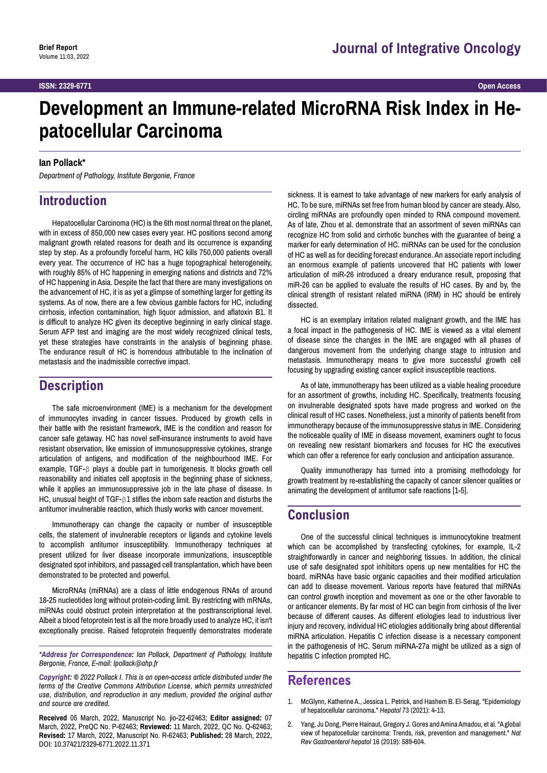# **Development an Immune-related MicroRNA Risk Index in Hepatocellular Carcinoma**

#### **Ian Pollack\***

*Department of Pathology, Institute Bergonie, France*

## **Introduction**

Hepatocellular Carcinoma (HC) is the 6th most normal threat on the planet, with in excess of 850,000 new cases every year. HC positions second among malignant growth related reasons for death and its occurrence is expanding step by step. As a profoundly forceful harm, HC kills 750,000 patients overall every year. The occurrence of HC has a huge topographical heterogeneity, with roughly 85% of HC happening in emerging nations and districts and 72% of HC happening in Asia. Despite the fact that there are many investigations on the advancement of HC, it is as yet a glimpse of something larger for getting its systems. As of now, there are a few obvious gamble factors for HC, including cirrhosis, infection contamination, high liquor admission, and aflatoxin B1. It is difficult to analyze HC given its deceptive beginning in early clinical stage. Serum AFP test and imaging are the most widely recognized clinical tests, yet these strategies have constraints in the analysis of beginning phase. The endurance result of HC is horrendous attributable to the inclination of metastasis and the inadmissible corrective impact.

#### **Description**

The safe microenvironment (IME) is a mechanism for the development of immunocytes invading in cancer tissues. Produced by growth cells in their battle with the resistant framework, IME is the condition and reason for cancer safe getaway. HC has novel self-insurance instruments to avoid have resistant observation, like emission of immunosuppressive cytokines, strange articulation of antigens, and modification of the neighbourhood IME. For example, TGF-β plays a double part in tumorigenesis. It blocks growth cell reasonability and initiates cell apoptosis in the beginning phase of sickness, while it applies an immunosuppressive job in the late phase of disease. In HC, unusual height of TGF-β1 stifles the inborn safe reaction and disturbs the antitumor invulnerable reaction, which thusly works with cancer movement.

Immunotherapy can change the capacity or number of insusceptible cells, the statement of invulnerable receptors or ligands and cytokine levels to accomplish antitumor insusceptibility. Immunotherapy techniques at present utilized for liver disease incorporate immunizations, insusceptible designated spot inhibitors, and passaged cell transplantation, which have been demonstrated to be protected and powerful.

MicroRNAs (miRNAs) are a class of little endogenous RNAs of around 18-25 nucleotides long without protein-coding limit. By restricting with mRNAs, miRNAs could obstruct protein interpretation at the posttranscriptional level. Albeit a blood fetoprotein test is all the more broadly used to analyze HC, it isn't exceptionally precise. Raised fetoprotein frequently demonstrates moderate

*\*Address for Correspondence: Ian Pollack, Department of Pathology, Institute Bergonie, France, E-mail: Ipollack@ahp.fr*

*Copyright: © 2022 Pollack I. This is an open-access article distributed under the terms of the Creative Commons Attribution License, which permits unrestricted use, distribution, and reproduction in any medium, provided the original author and source are credited.*

**Received** 05 March, 2022, Manuscript No. jio-22-62463; **Editor assigned:** 07 March, 2022, PreQC No. P-62463; **Reviewed:** 11 March, 2022, QC No. Q-62463; **Revised:** 17 March, 2022, Manuscript No. R-62463; **Published:** 28 March, 2022, DOI: 10.37421/2329-6771.2022.11.371

sickness. It is earnest to take advantage of new markers for early analysis of HC. To be sure, miRNAs set free from human blood by cancer are steady. Also, circling miRNAs are profoundly open minded to RNA compound movement. As of late, Zhou et al. demonstrate that an assortment of seven miRNAs can recognize HC from solid and cirrhotic bunches with the guarantee of being a marker for early determination of HC. miRNAs can be used for the conclusion of HC as well as for deciding forecast endurance. An associate report including an enormous example of patients uncovered that HC patients with lower articulation of miR-26 introduced a dreary endurance result, proposing that miR-26 can be applied to evaluate the results of HC cases. By and by, the clinical strength of resistant related miRNA (IRM) in HC should be entirely dissected.

HC is an exemplary irritation related malignant growth, and the IME has a focal impact in the pathogenesis of HC. IME is viewed as a vital element of disease since the changes in the IME are engaged with all phases of dangerous movement from the underlying change stage to intrusion and metastasis. Immunotherapy means to give more successful growth cell focusing by upgrading existing cancer explicit insusceptible reactions.

As of late, immunotherapy has been utilized as a viable healing procedure for an assortment of growths, including HC. Specifically, treatments focusing on invulnerable designated spots have made progress and worked on the clinical result of HC cases. Nonetheless, just a minority of patients benefit from immunotherapy because of the immunosuppressive status in IME. Considering the noticeable quality of IME in disease movement, examiners ought to focus on revealing new resistant biomarkers and focuses for HC the executives which can offer a reference for early conclusion and anticipation assurance.

Quality immunotherapy has turned into a promising methodology for growth treatment by re-establishing the capacity of cancer silencer qualities or animating the development of antitumor safe reactions [1-5].

### **Conclusion**

One of the successful clinical techniques is immunocytokine treatment which can be accomplished by transfecting cytokines, for example, IL-2 straightforwardly in cancer and neighboring tissues. In addition, the clinical use of safe designated spot inhibitors opens up new mentalities for HC the board. miRNAs have basic organic capacities and their modified articulation can add to disease movement. Various reports have featured that miRNAs can control growth inception and movement as one or the other favorable to or anticancer elements. By far most of HC can begin from cirrhosis of the liver because of different causes. As different etiologies lead to industrious liver injury and recovery, individual HC etiologies additionally bring about differential miRNA articulation. Hepatitis C infection disease is a necessary component in the pathogenesis of HC. Serum miRNA-27a might be utilized as a sign of hepatitis C infection prompted HC.

#### **References**

- 1. McGlynn, Katherine A., Jessica L. Petrick, and Hashem B. El‐Serag. "[Epidemiology](https://aasldpubs.onlinelibrary.wiley.com/doi/abs/10.1002/hep.31288)  [of hepatocellular carcinoma.](https://aasldpubs.onlinelibrary.wiley.com/doi/abs/10.1002/hep.31288)" *Hepatol* 73 (2021): 4-13.
- 2. Yang, Ju Dong, Pierre Hainaut, Gregory J. Gores and Amina Amadou, et al. ["A global](https://www.nature.com/articles/s41575-019-0186-y)  [view of hepatocellular carcinoma: Trends, risk, prevention and management.](https://www.nature.com/articles/s41575-019-0186-y)" *Nat Rev Gastroenterol hepatol* 16 (2019): 589-604.